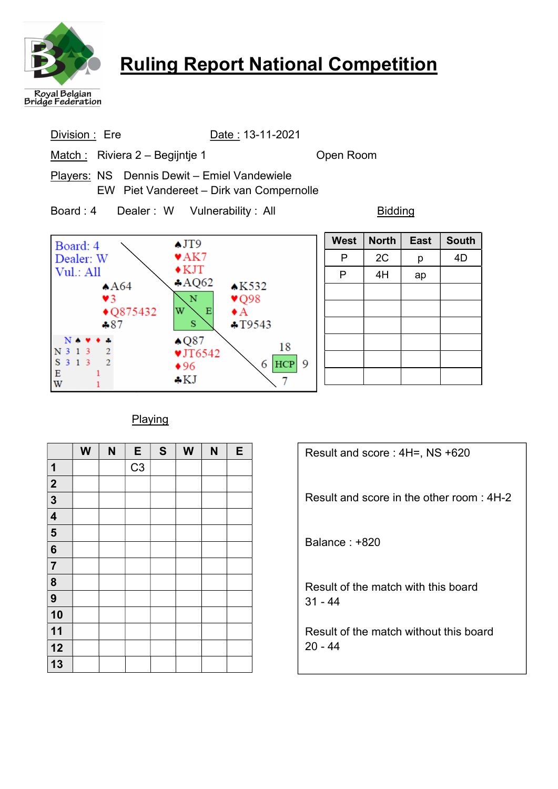

# Ruling Report National Competition

Division : Ere Date : 13-11-2021 Match: Riviera 2 – Begijntje 1 **Open Room** Players: NS Dennis Dewit – Emiel Vandewiele EW Piet Vandereet – Dirk van Compernolle Board : 4 Dealer : W Vulnerability : All Bidding West | North | East | South  $\triangle$ JT9 Board: 4  $\blacktriangledown$ AK7 Dealer: W \  $P$  2C p 4D  $\blacklozenge$  KJT Vul.: All  $P$  | 4H | ap  $AOO62$  $AA64$  $\triangle$ K532 L  $\blacktriangledown$  $\mathbf{v}$ Q98  $\mathbf N$  $\overline{1}$ L W  $E$  $\bullet$  A  $13432$ L  $-87$  $\mathbf S$  $+T9543$ L  $\triangle$  Q87  $\Delta$ 18 N 3 1 3  $\sqrt{2}$  $VJT6542$ 

 $6$  HCP 9

7

Playing

 $*96$ 

 $\clubsuit$ KJ

 $\sqrt{2}$ 

 $\mathbf{1}$ 

 $\mathbf{1}$ 

S 3 1 3

 $E$ 

W

|                         | W | N | E              | $\mathbf S$ | W | N | E |
|-------------------------|---|---|----------------|-------------|---|---|---|
| 1                       |   |   | C <sub>3</sub> |             |   |   |   |
| $\overline{2}$          |   |   |                |             |   |   |   |
| $\overline{3}$          |   |   |                |             |   |   |   |
| 4                       |   |   |                |             |   |   |   |
| $\overline{\mathbf{5}}$ |   |   |                |             |   |   |   |
| 6                       |   |   |                |             |   |   |   |
| $\overline{7}$          |   |   |                |             |   |   |   |
| $\overline{\mathbf{8}}$ |   |   |                |             |   |   |   |
| 9                       |   |   |                |             |   |   |   |
| 10                      |   |   |                |             |   |   |   |
| 11                      |   |   |                |             |   |   |   |
| 12                      |   |   |                |             |   |   |   |
| 13                      |   |   |                |             |   |   |   |

| Result and score: 4H=, NS +620                    |
|---------------------------------------------------|
| Result and score in the other room: 4H-2          |
| Balance : +820                                    |
| Result of the match with this board<br>$31 - 44$  |
| Result of the match without this board<br>20 - 44 |